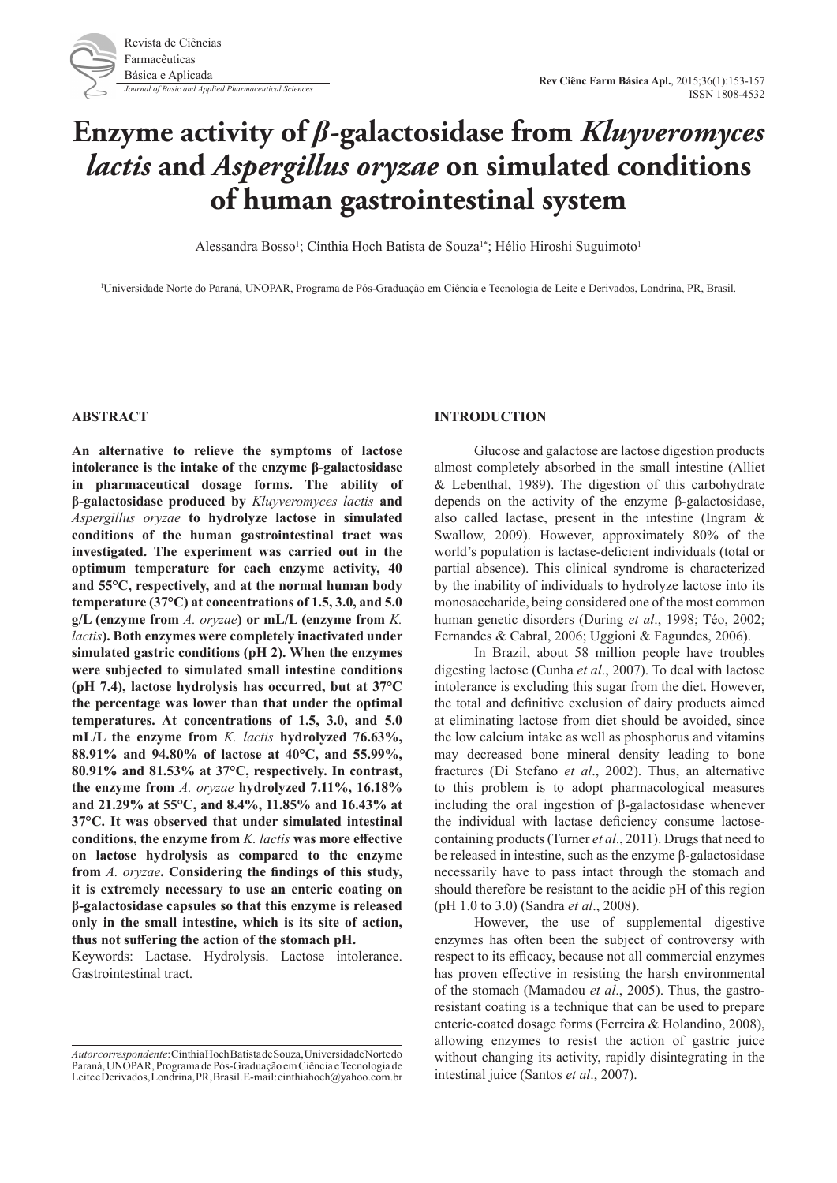# **Enzyme activity of** *β***-galactosidase from** *Kluyveromyces lactis* **and** *Aspergillus oryzae* **on simulated conditions of human gastrointestinal system**

Alessandra Bosso<sup>1</sup>; Cínthia Hoch Batista de Souza<sup>1\*</sup>; Hélio Hiroshi Suguimoto<sup>1</sup>

1 Universidade Norte do Paraná, UNOPAR, Programa de Pós-Graduação em Ciência e Tecnologia de Leite e Derivados, Londrina, PR, Brasil.

#### **ABSTRACT**

**An alternative to relieve the symptoms of lactose intolerance is the intake of the enzyme β-galactosidase in pharmaceutical dosage forms. The ability of β-galactosidase produced by** *Kluyveromyces lactis* **and**  *Aspergillus oryzae* **to hydrolyze lactose in simulated conditions of the human gastrointestinal tract was investigated. The experiment was carried out in the optimum temperature for each enzyme activity, 40 and 55°C, respectively, and at the normal human body temperature (37°C) at concentrations of 1.5, 3.0, and 5.0 g/L (enzyme from** *A. oryzae***) or mL/L (enzyme from** *K. lactis***). Both enzymes were completely inactivated under simulated gastric conditions (pH 2). When the enzymes were subjected to simulated small intestine conditions (pH 7.4), lactose hydrolysis has occurred, but at 37°C the percentage was lower than that under the optimal temperatures. At concentrations of 1.5, 3.0, and 5.0 mL/L the enzyme from** *K. lactis* **hydrolyzed 76.63%, 88.91% and 94.80% of lactose at 40°C, and 55.99%, 80.91% and 81.53% at 37°C, respectively. In contrast, the enzyme from** *A. oryzae* **hydrolyzed 7.11%, 16.18% and 21.29% at 55°C, and 8.4%, 11.85% and 16.43% at 37°C. It was observed that under simulated intestinal conditions, the enzyme from** *K. lactis* **was more effective on lactose hydrolysis as compared to the enzyme from** *A. oryzae***. Considering the findings of this study, it is extremely necessary to use an enteric coating on β-galactosidase capsules so that this enzyme is released only in the small intestine, which is its site of action, thus not suffering the action of the stomach pH.**

Keywords: Lactase. Hydrolysis. Lactose intolerance. Gastrointestinal tract.

## *Autor correspondente:* Cínthia Hoch Batista de Souza, Universidade Norte do<br>Paraná, UNOPAR, Programa de Pós-Graduação em Ciência e Tecnologia de Leitee Derivados, Londrina, PR, Brasil. E-mail: cinthiahoch@yahoo.com.br

#### **INTRODUCTION**

Glucose and galactose are lactose digestion products almost completely absorbed in the small intestine (Alliet & Lebenthal, 1989). The digestion of this carbohydrate depends on the activity of the enzyme β-galactosidase, also called lactase, present in the intestine (Ingram & Swallow, 2009). However, approximately 80% of the world's population is lactase-deficient individuals (total or partial absence). This clinical syndrome is characterized by the inability of individuals to hydrolyze lactose into its monosaccharide, being considered one of the most common human genetic disorders (During *et al*., 1998; Téo, 2002; Fernandes & Cabral, 2006; Uggioni & Fagundes, 2006).

In Brazil, about 58 million people have troubles digesting lactose (Cunha *et al*., 2007). To deal with lactose intolerance is excluding this sugar from the diet. However, the total and definitive exclusion of dairy products aimed at eliminating lactose from diet should be avoided, since the low calcium intake as well as phosphorus and vitamins may decreased bone mineral density leading to bone fractures (Di Stefano *et al*., 2002). Thus, an alternative to this problem is to adopt pharmacological measures including the oral ingestion of β-galactosidase whenever the individual with lactase deficiency consume lactosecontaining products (Turner *et al*., 2011). Drugs that need to be released in intestine, such as the enzyme β-galactosidase necessarily have to pass intact through the stomach and should therefore be resistant to the acidic pH of this region (pH 1.0 to 3.0) (Sandra *et al*., 2008).

However, the use of supplemental digestive enzymes has often been the subject of controversy with respect to its efficacy, because not all commercial enzymes has proven effective in resisting the harsh environmental of the stomach (Mamadou *et al*., 2005). Thus, the gastroresistant coating is a technique that can be used to prepare enteric-coated dosage forms (Ferreira & Holandino, 2008), allowing enzymes to resist the action of gastric juice without changing its activity, rapidly disintegrating in the intestinal juice (Santos *et al*., 2007).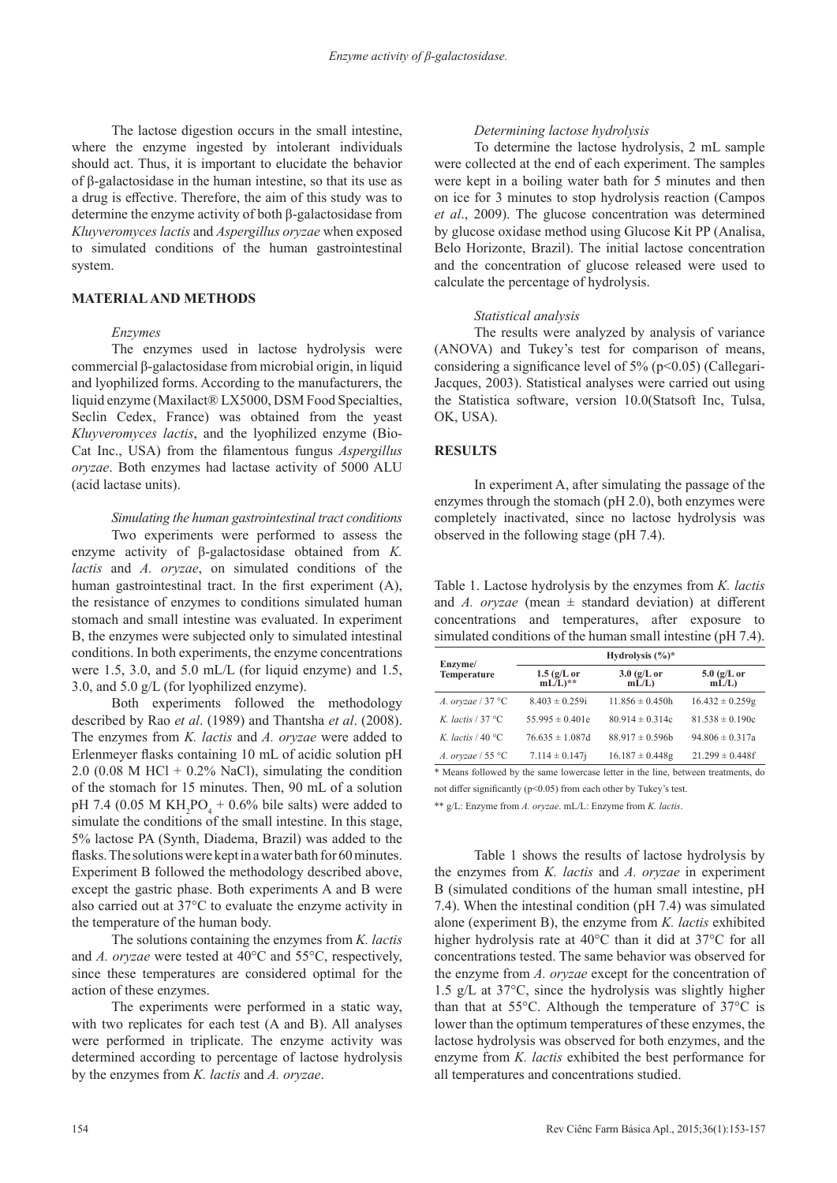The lactose digestion occurs in the small intestine, where the enzyme ingested by intolerant individuals should act. Thus, it is important to elucidate the behavior of β-galactosidase in the human intestine, so that its use as a drug is effective. Therefore, the aim of this study was to determine the enzyme activity of both β-galactosidase from *Kluyveromyces lactis* and *Aspergillus oryzae* when exposed to simulated conditions of the human gastrointestinal system.

#### **MATERIAL AND METHODS**

#### *Enzymes*

The enzymes used in lactose hydrolysis were commercial β-galactosidase from microbial origin, in liquid and lyophilized forms. According to the manufacturers, the liquid enzyme (Maxilact® LX5000, DSM Food Specialties, Seclin Cedex, France) was obtained from the yeast *Kluyveromyces lactis*, and the lyophilized enzyme (Bio-Cat Inc., USA) from the filamentous fungus *Aspergillus oryzae*. Both enzymes had lactase activity of 5000 ALU (acid lactase units).

*Simulating the human gastrointestinal tract conditions*

Two experiments were performed to assess the enzyme activity of β-galactosidase obtained from *K. lactis* and *A. oryzae*, on simulated conditions of the human gastrointestinal tract. In the first experiment (A), the resistance of enzymes to conditions simulated human stomach and small intestine was evaluated. In experiment B, the enzymes were subjected only to simulated intestinal conditions. In both experiments, the enzyme concentrations were 1.5, 3.0, and 5.0 mL/L (for liquid enzyme) and 1.5, 3.0, and 5.0 g/L (for lyophilized enzyme).

Both experiments followed the methodology described by Rao *et al*. (1989) and Thantsha *et al*. (2008). The enzymes from *K. lactis* and *A. oryzae* were added to Erlenmeyer flasks containing 10 mL of acidic solution pH 2.0 (0.08 M HCl + 0.2% NaCl), simulating the condition of the stomach for 15 minutes. Then, 90 mL of a solution pH 7.4 (0.05 M  $KH_2PO_4 + 0.6%$  bile salts) were added to simulate the conditions of the small intestine. In this stage, 5% lactose PA (Synth, Diadema, Brazil) was added to the flasks. The solutions were kept in a water bath for 60 minutes. Experiment B followed the methodology described above, except the gastric phase. Both experiments A and B were also carried out at 37°C to evaluate the enzyme activity in the temperature of the human body.

The solutions containing the enzymes from *K. lactis* and *A. oryzae* were tested at 40°C and 55°C, respectively, since these temperatures are considered optimal for the action of these enzymes.

The experiments were performed in a static way, with two replicates for each test (A and B). All analyses were performed in triplicate. The enzyme activity was determined according to percentage of lactose hydrolysis by the enzymes from *K. lactis* and *A. oryzae*.

#### *Determining lactose hydrolysis*

To determine the lactose hydrolysis, 2 mL sample were collected at the end of each experiment. The samples were kept in a boiling water bath for 5 minutes and then on ice for 3 minutes to stop hydrolysis reaction (Campos *et al*., 2009). The glucose concentration was determined by glucose oxidase method using Glucose Kit PP (Analisa, Belo Horizonte, Brazil). The initial lactose concentration and the concentration of glucose released were used to calculate the percentage of hydrolysis.

#### *Statistical analysis*

The results were analyzed by analysis of variance (ANOVA) and Tukey's test for comparison of means, considering a significance level of  $5\%$  (p<0.05) (Callegari-Jacques, 2003). Statistical analyses were carried out using the Statistica software, version 10.0(Statsoft Inc, Tulsa, OK, USA).

#### **RESULTS**

In experiment A, after simulating the passage of the enzymes through the stomach (pH 2.0), both enzymes were completely inactivated, since no lactose hydrolysis was observed in the following stage (pH 7.4).

Table 1. Lactose hydrolysis by the enzymes from *K. lactis* and *A. oryzae* (mean  $\pm$  standard deviation) at different concentrations and temperatures, after exposure to simulated conditions of the human small intestine (pH 7.4).

| Enzyme/<br>Temperature      | Hydrolysis $(\%)^*$                   |                           |                           |
|-----------------------------|---------------------------------------|---------------------------|---------------------------|
|                             | $1.5$ (g/L or<br>$mL/L$ <sup>**</sup> | $3.0$ (g/L or<br>$mL/L$ ) | $5.0$ (g/L or<br>$mL/L$ ) |
| A. oryzae / $37 °C$         | $8.403 \pm 0.259$ i                   | $11.856 \pm 0.450h$       | $16.432 \pm 0.259$ g      |
| K. lactis / $37^{\circ}$ C  | $55.995 \pm 0.401e$                   | $80.914 \pm 0.314c$       | $81.538 \pm 0.190c$       |
| K. lactis / 40 $^{\circ}$ C | $76.635 \pm 1.087d$                   | $88.917 \pm 0.596$        | $94.806 \pm 0.317$ a      |
| A. oryzae / $55^{\circ}$ C  | $7.114 \pm 0.147$ j                   | $16.187 \pm 0.448g$       | $21.299 \pm 0.448f$       |

\* Means followed by the same lowercase letter in the line, between treatments, do not differ significantly ( $p<0.05$ ) from each other by Tukey's test.

\*\* g/L: Enzyme from *A. oryzae*. mL/L: Enzyme from *K. lactis*.

Table 1 shows the results of lactose hydrolysis by the enzymes from *K. lactis* and *A. oryzae* in experiment B (simulated conditions of the human small intestine, pH 7.4). When the intestinal condition (pH 7.4) was simulated alone (experiment B), the enzyme from *K. lactis* exhibited higher hydrolysis rate at 40°C than it did at 37°C for all concentrations tested. The same behavior was observed for the enzyme from *A. oryzae* except for the concentration of 1.5 g/L at 37°C, since the hydrolysis was slightly higher than that at 55°C. Although the temperature of 37°C is lower than the optimum temperatures of these enzymes, the lactose hydrolysis was observed for both enzymes, and the enzyme from *K. lactis* exhibited the best performance for all temperatures and concentrations studied.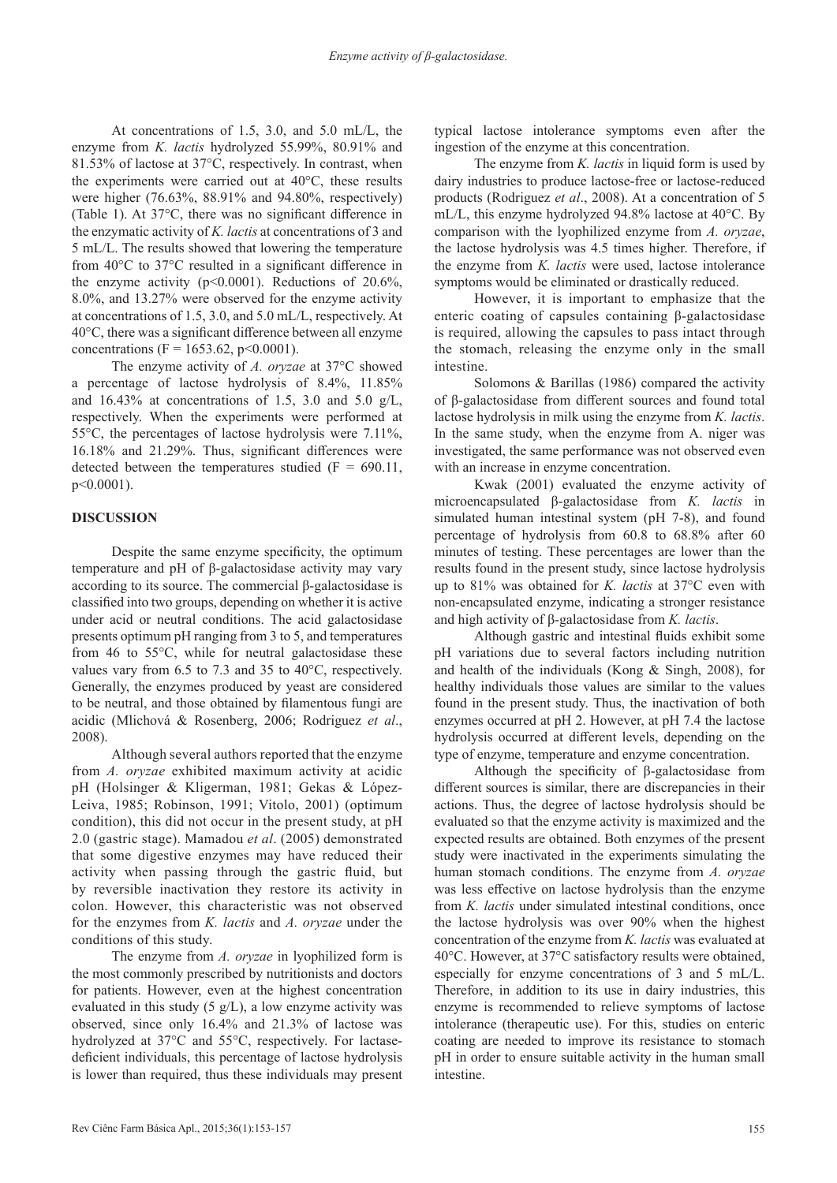At concentrations of 1.5, 3.0, and 5.0 mL/L, the enzyme from *K. lactis* hydrolyzed 55.99%, 80.91% and 81.53% of lactose at 37°C, respectively. In contrast, when the experiments were carried out at 40°C, these results were higher (76.63%, 88.91% and 94.80%, respectively) (Table 1). At 37°C, there was no significant difference in the enzymatic activity of *K. lactis* at concentrations of 3 and 5 mL/L. The results showed that lowering the temperature from 40°C to 37°C resulted in a significant difference in the enzyme activity ( $p<0.0001$ ). Reductions of 20.6%, 8.0%, and 13.27% were observed for the enzyme activity at concentrations of 1.5, 3.0, and 5.0 mL/L, respectively. At 40°C, there was a significant difference between all enzyme concentrations (F = 1653.62, p<0.0001).

The enzyme activity of *A. oryzae* at 37°C showed a percentage of lactose hydrolysis of 8.4%, 11.85% and 16.43% at concentrations of 1.5, 3.0 and 5.0 g/L, respectively. When the experiments were performed at 55°C, the percentages of lactose hydrolysis were 7.11%, 16.18% and 21.29%. Thus, significant differences were detected between the temperatures studied ( $F = 690.11$ , p<0.0001).

#### **DISCUSSION**

Despite the same enzyme specificity, the optimum temperature and pH of β-galactosidase activity may vary according to its source. The commercial β-galactosidase is classified into two groups, depending on whether it is active under acid or neutral conditions. The acid galactosidase presents optimum pH ranging from 3 to 5, and temperatures from 46 to 55°C, while for neutral galactosidase these values vary from 6.5 to 7.3 and 35 to 40°C, respectively. Generally, the enzymes produced by yeast are considered to be neutral, and those obtained by filamentous fungi are acidic (Mlichová & Rosenberg, 2006; Rodriguez *et al*., 2008).

Although several authors reported that the enzyme from *A. oryzae* exhibited maximum activity at acidic pH (Holsinger & Kligerman, 1981; Gekas & López-Leiva, 1985; Robinson, 1991; Vitolo, 2001) (optimum condition), this did not occur in the present study, at pH 2.0 (gastric stage). Mamadou *et al*. (2005) demonstrated that some digestive enzymes may have reduced their activity when passing through the gastric fluid, but by reversible inactivation they restore its activity in colon. However, this characteristic was not observed for the enzymes from *K. lactis* and *A. oryzae* under the conditions of this study.

The enzyme from *A. oryzae* in lyophilized form is the most commonly prescribed by nutritionists and doctors for patients. However, even at the highest concentration evaluated in this study  $(5 \text{ g/L})$ , a low enzyme activity was observed, since only 16.4% and 21.3% of lactose was hydrolyzed at 37°C and 55°C, respectively. For lactasedeficient individuals, this percentage of lactose hydrolysis is lower than required, thus these individuals may present typical lactose intolerance symptoms even after the ingestion of the enzyme at this concentration.

The enzyme from *K. lactis* in liquid form is used by dairy industries to produce lactose-free or lactose-reduced products (Rodriguez *et al*., 2008). At a concentration of 5 mL/L, this enzyme hydrolyzed 94.8% lactose at 40°C. By comparison with the lyophilized enzyme from *A. oryzae*, the lactose hydrolysis was 4.5 times higher. Therefore, if the enzyme from *K. lactis* were used, lactose intolerance symptoms would be eliminated or drastically reduced.

However, it is important to emphasize that the enteric coating of capsules containing β-galactosidase is required, allowing the capsules to pass intact through the stomach, releasing the enzyme only in the small intestine.

Solomons & Barillas (1986) compared the activity of β-galactosidase from different sources and found total lactose hydrolysis in milk using the enzyme from *K. lactis*. In the same study, when the enzyme from A. niger was investigated, the same performance was not observed even with an increase in enzyme concentration.

Kwak (2001) evaluated the enzyme activity of microencapsulated β-galactosidase from *K. lactis* in simulated human intestinal system (pH 7-8), and found percentage of hydrolysis from 60.8 to 68.8% after 60 minutes of testing. These percentages are lower than the results found in the present study, since lactose hydrolysis up to 81% was obtained for *K. lactis* at 37°C even with non-encapsulated enzyme, indicating a stronger resistance and high activity of β-galactosidase from *K. lactis*.

Although gastric and intestinal fluids exhibit some pH variations due to several factors including nutrition and health of the individuals (Kong & Singh, 2008), for healthy individuals those values are similar to the values found in the present study. Thus, the inactivation of both enzymes occurred at pH 2. However, at pH 7.4 the lactose hydrolysis occurred at different levels, depending on the type of enzyme, temperature and enzyme concentration.

Although the specificity of β-galactosidase from different sources is similar, there are discrepancies in their actions. Thus, the degree of lactose hydrolysis should be evaluated so that the enzyme activity is maximized and the expected results are obtained. Both enzymes of the present study were inactivated in the experiments simulating the human stomach conditions. The enzyme from *A. oryzae* was less effective on lactose hydrolysis than the enzyme from *K. lactis* under simulated intestinal conditions, once the lactose hydrolysis was over 90% when the highest concentration of the enzyme from *K. lactis* was evaluated at 40°C. However, at 37°C satisfactory results were obtained, especially for enzyme concentrations of 3 and 5 mL/L. Therefore, in addition to its use in dairy industries, this enzyme is recommended to relieve symptoms of lactose intolerance (therapeutic use). For this, studies on enteric coating are needed to improve its resistance to stomach pH in order to ensure suitable activity in the human small intestine.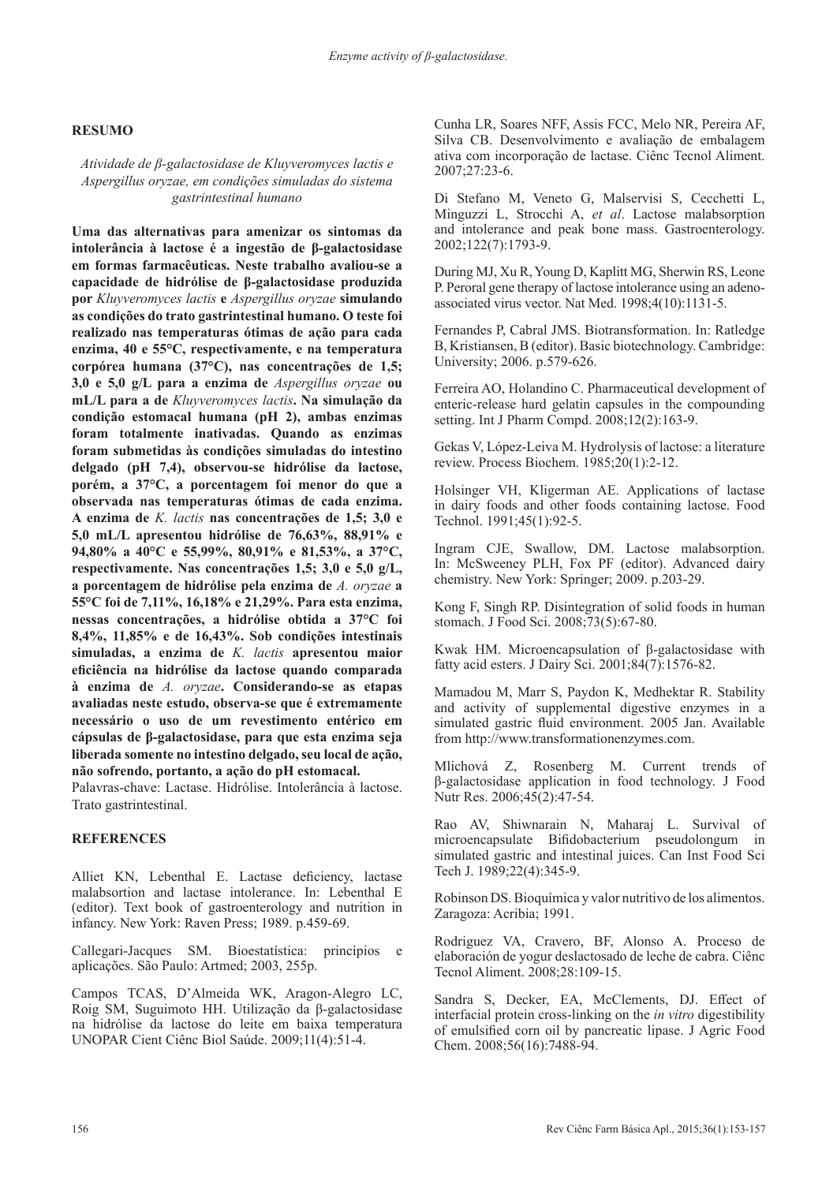#### **RESUMO**

#### *Atividade de β-galactosidase de Kluyveromyces lactis e Aspergillus oryzae, em condições simuladas do sistema gastrintestinal humano*

**Uma das alternativas para amenizar os sintomas da intolerância à lactose é a ingestão de β-galactosidase em formas farmacêuticas. Neste trabalho avaliou-se a capacidade de hidrólise de β-galactosidase produzida por** *Kluyveromyces lactis* **e** *Aspergillus oryzae* **simulando as condições do trato gastrintestinal humano. O teste foi realizado nas temperaturas ótimas de ação para cada enzima, 40 e 55°C, respectivamente, e na temperatura corpórea humana (37°C), nas concentrações de 1,5; 3,0 e 5,0 g/L para a enzima de** *Aspergillus oryzae* **ou mL/L para a de** *Kluyveromyces lactis***. Na simulação da condição estomacal humana (pH 2), ambas enzimas foram totalmente inativadas. Quando as enzimas foram submetidas às condições simuladas do intestino delgado (pH 7,4), observou-se hidrólise da lactose, porém, a 37°C, a porcentagem foi menor do que a observada nas temperaturas ótimas de cada enzima. A enzima de** *K. lactis* **nas concentrações de 1,5; 3,0 e 5,0 mL/L apresentou hidrólise de 76,63%, 88,91% e 94,80% a 40°C e 55,99%, 80,91% e 81,53%, a 37°C, respectivamente. Nas concentrações 1,5; 3,0 e 5,0 g/L, a porcentagem de hidrólise pela enzima de** *A. oryzae* **a 55°C foi de 7,11%, 16,18% e 21,29%. Para esta enzima, nessas concentrações, a hidrólise obtida a 37°C foi 8,4%, 11,85% e de 16,43%. Sob condições intestinais simuladas, a enzima de** *K. lactis* **apresentou maior eficiência na hidrólise da lactose quando comparada à enzima de** *A. oryzae***. Considerando-se as etapas avaliadas neste estudo, observa-se que é extremamente necessário o uso de um revestimento entérico em cápsulas de β-galactosidase, para que esta enzima seja liberada somente no intestino delgado, seu local de ação, não sofrendo, portanto, a ação do pH estomacal.**

Palavras-chave: Lactase. Hidrólise. Intolerância à lactose. Trato gastrintestinal.

### **REFERENCES**

Alliet KN, Lebenthal E. Lactase deficiency, lactase malabsortion and lactase intolerance. In: Lebenthal E (editor). Text book of gastroenterology and nutrition in infancy. New York: Raven Press; 1989. p.459-69.

Callegari-Jacques SM. Bioestatística: princípios e aplicações. São Paulo: Artmed; 2003, 255p.

Campos TCAS, D'Almeida WK, Aragon-Alegro LC, Roig SM, Suguimoto HH. Utilização da β-galactosidase na hidrólise da lactose do leite em baixa temperatura UNOPAR Cient Ciênc Biol Saúde. 2009;11(4):51-4.

Cunha LR, Soares NFF, Assis FCC, Melo NR, Pereira AF, Silva CB. Desenvolvimento e avaliação de embalagem ativa com incorporação de lactase. Ciênc Tecnol Aliment. 2007;27:23-6.

Di Stefano M, Veneto G, Malservisi S, Cecchetti L, Minguzzi L, Strocchi A, *et al*. Lactose malabsorption and intolerance and peak bone mass. Gastroenterology. 2002;122(7):1793-9.

During MJ, Xu R, Young D, Kaplitt MG, Sherwin RS, Leone P. Peroral gene therapy of lactose intolerance using an adenoassociated virus vector. Nat Med. 1998;4(10):1131-5.

Fernandes P, Cabral JMS. Biotransformation. In: Ratledge B, Kristiansen, B (editor). Basic biotechnology. Cambridge: University; 2006. p.579-626.

Ferreira AO, Holandino C. Pharmaceutical development of enteric-release hard gelatin capsules in the compounding setting. Int J Pharm Compd. 2008;12(2):163-9.

Gekas V, López-Leiva M. Hydrolysis of lactose: a literature review. Process Biochem. 1985;20(1):2-12.

Holsinger VH, Kligerman AE. Applications of lactase in dairy foods and other foods containing lactose. Food Technol. 1991;45(1):92-5.

Ingram CJE, Swallow, DM. Lactose malabsorption. In: McSweeney PLH, Fox PF (editor). Advanced dairy chemistry. New York: Springer; 2009. p.203-29.

Kong F, Singh RP. Disintegration of solid foods in human stomach. J Food Sci. 2008;73(5):67-80.

Kwak HM. Microencapsulation of β-galactosidase with fatty acid esters. J Dairy Sci. 2001;84(7):1576-82.

Mamadou M, Marr S, Paydon K, Medhektar R. Stability and activity of supplemental digestive enzymes in a simulated gastric fluid environment. 2005 Jan. Available from http://www.transformationenzymes.com.

Mlichová Z, Rosenberg M. Current trends of β-galactosidase application in food technology. J Food Nutr Res. 2006;45(2):47-54.

Rao AV, Shiwnarain N, Maharaj L. Survival of microencapsulate Bifidobacterium pseudolongum in simulated gastric and intestinal juices. Can Inst Food Sci Tech J. 1989;22(4):345-9.

Robinson DS. Bioquímica y valor nutritivo de los alimentos. Zaragoza: Acribia; 1991.

Rodriguez VA, Cravero, BF, Alonso A. Proceso de elaboración de yogur deslactosado de leche de cabra. Ciênc Tecnol Aliment. 2008;28:109-15.

Sandra S, Decker, EA, McClements, DJ. Effect of interfacial protein cross-linking on the *in vitro* digestibility of emulsified corn oil by pancreatic lipase. J Agric Food Chem. 2008;56(16):7488-94.